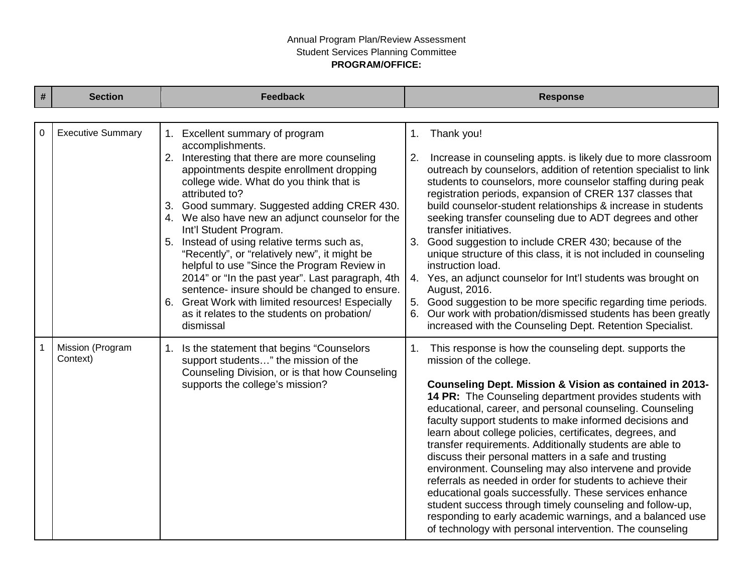## Annual Program Plan/Review Assessment Student Services Planning Committee **PROGRAM/OFFICE:**

| # | <b>Section</b>               | <b>Feedback</b>                                                                                                                                                                                                                                                                                                                                                                                                                                                                                                                                                                                                                                        | <b>Response</b>                                                                                                                                                                                                                                                                                                                                                                                                                                                                                                                                                                                                                                                                                                                                                                                                                                                                              |
|---|------------------------------|--------------------------------------------------------------------------------------------------------------------------------------------------------------------------------------------------------------------------------------------------------------------------------------------------------------------------------------------------------------------------------------------------------------------------------------------------------------------------------------------------------------------------------------------------------------------------------------------------------------------------------------------------------|----------------------------------------------------------------------------------------------------------------------------------------------------------------------------------------------------------------------------------------------------------------------------------------------------------------------------------------------------------------------------------------------------------------------------------------------------------------------------------------------------------------------------------------------------------------------------------------------------------------------------------------------------------------------------------------------------------------------------------------------------------------------------------------------------------------------------------------------------------------------------------------------|
|   |                              |                                                                                                                                                                                                                                                                                                                                                                                                                                                                                                                                                                                                                                                        |                                                                                                                                                                                                                                                                                                                                                                                                                                                                                                                                                                                                                                                                                                                                                                                                                                                                                              |
| 0 | <b>Executive Summary</b>     | 1. Excellent summary of program<br>accomplishments.                                                                                                                                                                                                                                                                                                                                                                                                                                                                                                                                                                                                    | Thank you!<br>1.                                                                                                                                                                                                                                                                                                                                                                                                                                                                                                                                                                                                                                                                                                                                                                                                                                                                             |
|   |                              | 2. Interesting that there are more counseling<br>appointments despite enrollment dropping<br>college wide. What do you think that is<br>attributed to?<br>3. Good summary. Suggested adding CRER 430.<br>4. We also have new an adjunct counselor for the<br>Int'l Student Program.<br>5. Instead of using relative terms such as,<br>"Recently", or "relatively new", it might be<br>helpful to use "Since the Program Review in<br>2014" or "In the past year". Last paragraph, 4th<br>sentence- insure should be changed to ensure.<br>6. Great Work with limited resources! Especially<br>as it relates to the students on probation/<br>dismissal | 2.<br>Increase in counseling appts. is likely due to more classroom<br>outreach by counselors, addition of retention specialist to link<br>students to counselors, more counselor staffing during peak<br>registration periods, expansion of CRER 137 classes that<br>build counselor-student relationships & increase in students<br>seeking transfer counseling due to ADT degrees and other<br>transfer initiatives.<br>3. Good suggestion to include CRER 430; because of the<br>unique structure of this class, it is not included in counseling<br>instruction load.<br>4. Yes, an adjunct counselor for Int'l students was brought on<br>August, 2016.<br>5. Good suggestion to be more specific regarding time periods.<br>6. Our work with probation/dismissed students has been greatly<br>increased with the Counseling Dept. Retention Specialist.                               |
|   | Mission (Program<br>Context) | 1. Is the statement that begins "Counselors"<br>support students" the mission of the<br>Counseling Division, or is that how Counseling<br>supports the college's mission?                                                                                                                                                                                                                                                                                                                                                                                                                                                                              | This response is how the counseling dept. supports the<br>1.<br>mission of the college.<br>Counseling Dept. Mission & Vision as contained in 2013-<br>14 PR: The Counseling department provides students with<br>educational, career, and personal counseling. Counseling<br>faculty support students to make informed decisions and<br>learn about college policies, certificates, degrees, and<br>transfer requirements. Additionally students are able to<br>discuss their personal matters in a safe and trusting<br>environment. Counseling may also intervene and provide<br>referrals as needed in order for students to achieve their<br>educational goals successfully. These services enhance<br>student success through timely counseling and follow-up,<br>responding to early academic warnings, and a balanced use<br>of technology with personal intervention. The counseling |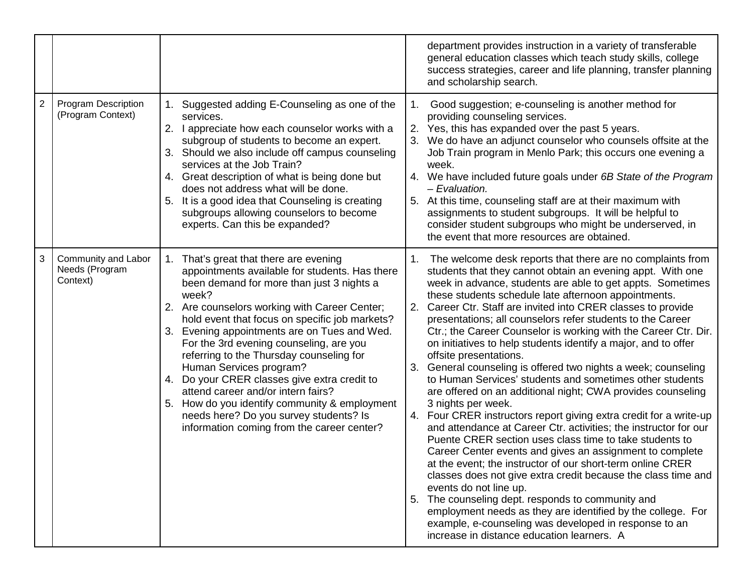|                |                                                   |                                                                                                                                                                                                                                                                                                                                                                                                                                                                                                                                                                                                                                                    |    | department provides instruction in a variety of transferable<br>general education classes which teach study skills, college<br>success strategies, career and life planning, transfer planning<br>and scholarship search.                                                                                                                                                                                                                                                                                                                                                                                                                                                                                                                                                                                                                                                                                                                                                                                                                                                                                                                                                                                                                                                                                                                                                                                |
|----------------|---------------------------------------------------|----------------------------------------------------------------------------------------------------------------------------------------------------------------------------------------------------------------------------------------------------------------------------------------------------------------------------------------------------------------------------------------------------------------------------------------------------------------------------------------------------------------------------------------------------------------------------------------------------------------------------------------------------|----|----------------------------------------------------------------------------------------------------------------------------------------------------------------------------------------------------------------------------------------------------------------------------------------------------------------------------------------------------------------------------------------------------------------------------------------------------------------------------------------------------------------------------------------------------------------------------------------------------------------------------------------------------------------------------------------------------------------------------------------------------------------------------------------------------------------------------------------------------------------------------------------------------------------------------------------------------------------------------------------------------------------------------------------------------------------------------------------------------------------------------------------------------------------------------------------------------------------------------------------------------------------------------------------------------------------------------------------------------------------------------------------------------------|
| $\overline{c}$ | <b>Program Description</b><br>(Program Context)   | 1. Suggested adding E-Counseling as one of the<br>services.<br>2. I appreciate how each counselor works with a<br>subgroup of students to become an expert.<br>3. Should we also include off campus counseling<br>services at the Job Train?<br>4. Great description of what is being done but<br>does not address what will be done.<br>It is a good idea that Counseling is creating<br>5.<br>subgroups allowing counselors to become<br>experts. Can this be expanded?                                                                                                                                                                          |    | Good suggestion; e-counseling is another method for<br>providing counseling services.<br>2. Yes, this has expanded over the past 5 years.<br>We do have an adjunct counselor who counsels offsite at the<br>Job Train program in Menlo Park; this occurs one evening a<br>week.<br>4. We have included future goals under 6B State of the Program<br>- Evaluation.<br>At this time, counseling staff are at their maximum with<br>assignments to student subgroups. It will be helpful to<br>consider student subgroups who might be underserved, in<br>the event that more resources are obtained.                                                                                                                                                                                                                                                                                                                                                                                                                                                                                                                                                                                                                                                                                                                                                                                                      |
| 3              | Community and Labor<br>Needs (Program<br>Context) | 1. That's great that there are evening<br>appointments available for students. Has there<br>been demand for more than just 3 nights a<br>week?<br>2. Are counselors working with Career Center;<br>hold event that focus on specific job markets?<br>3. Evening appointments are on Tues and Wed.<br>For the 3rd evening counseling, are you<br>referring to the Thursday counseling for<br>Human Services program?<br>4. Do your CRER classes give extra credit to<br>attend career and/or intern fairs?<br>5. How do you identify community & employment<br>needs here? Do you survey students? Is<br>information coming from the career center? | 4. | The welcome desk reports that there are no complaints from<br>students that they cannot obtain an evening appt. With one<br>week in advance, students are able to get appts. Sometimes<br>these students schedule late afternoon appointments.<br>Career Ctr. Staff are invited into CRER classes to provide<br>presentations; all counselors refer students to the Career<br>Ctr.; the Career Counselor is working with the Career Ctr. Dir.<br>on initiatives to help students identify a major, and to offer<br>offsite presentations.<br>General counseling is offered two nights a week; counseling<br>to Human Services' students and sometimes other students<br>are offered on an additional night; CWA provides counseling<br>3 nights per week.<br>Four CRER instructors report giving extra credit for a write-up<br>and attendance at Career Ctr. activities; the instructor for our<br>Puente CRER section uses class time to take students to<br>Career Center events and gives an assignment to complete<br>at the event; the instructor of our short-term online CRER<br>classes does not give extra credit because the class time and<br>events do not line up.<br>The counseling dept. responds to community and<br>employment needs as they are identified by the college. For<br>example, e-counseling was developed in response to an<br>increase in distance education learners. A |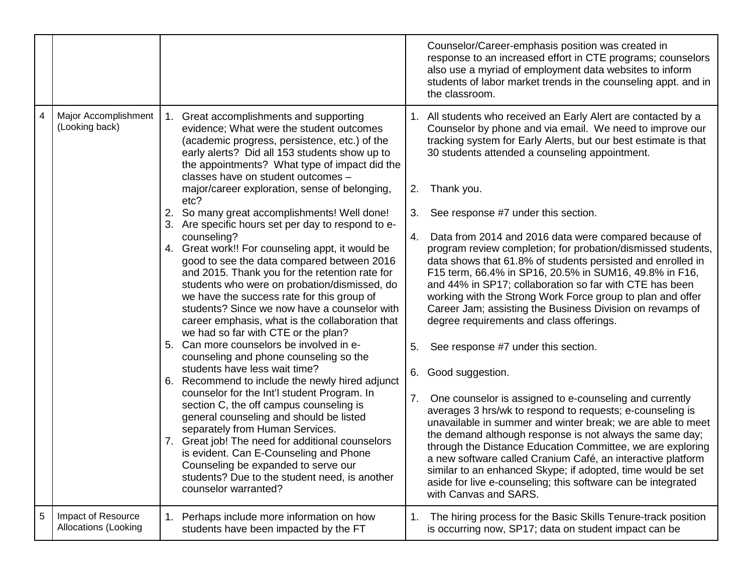|   |                                                   |                                                                                                                                                                                                                                                                                                                                                                                                                                                                                                                                                                                                                                         |          | Counselor/Career-emphasis position was created in<br>response to an increased effort in CTE programs; counselors<br>also use a myriad of employment data websites to inform<br>students of labor market trends in the counseling appt. and in<br>the classroom.                                                                                                                                                                                                                                                                                |
|---|---------------------------------------------------|-----------------------------------------------------------------------------------------------------------------------------------------------------------------------------------------------------------------------------------------------------------------------------------------------------------------------------------------------------------------------------------------------------------------------------------------------------------------------------------------------------------------------------------------------------------------------------------------------------------------------------------------|----------|------------------------------------------------------------------------------------------------------------------------------------------------------------------------------------------------------------------------------------------------------------------------------------------------------------------------------------------------------------------------------------------------------------------------------------------------------------------------------------------------------------------------------------------------|
| 4 | Major Accomplishment<br>(Looking back)            | Great accomplishments and supporting<br>evidence; What were the student outcomes<br>(academic progress, persistence, etc.) of the<br>early alerts? Did all 153 students show up to<br>the appointments? What type of impact did the<br>classes have on student outcomes -<br>major/career exploration, sense of belonging,                                                                                                                                                                                                                                                                                                              | 2.       | 1. All students who received an Early Alert are contacted by a<br>Counselor by phone and via email. We need to improve our<br>tracking system for Early Alerts, but our best estimate is that<br>30 students attended a counseling appointment.<br>Thank you.                                                                                                                                                                                                                                                                                  |
|   |                                                   | etc?<br>So many great accomplishments! Well done!<br>2.                                                                                                                                                                                                                                                                                                                                                                                                                                                                                                                                                                                 | 3.       | See response #7 under this section.                                                                                                                                                                                                                                                                                                                                                                                                                                                                                                            |
|   |                                                   | 3. Are specific hours set per day to respond to e-<br>counseling?<br>4. Great work!! For counseling appt, it would be<br>good to see the data compared between 2016<br>and 2015. Thank you for the retention rate for<br>students who were on probation/dismissed, do<br>we have the success rate for this group of<br>students? Since we now have a counselor with<br>career emphasis, what is the collaboration that<br>we had so far with CTE or the plan?<br>5. Can more counselors be involved in e-<br>counseling and phone counseling so the<br>students have less wait time?<br>6. Recommend to include the newly hired adjunct | 4.<br>5. | Data from 2014 and 2016 data were compared because of<br>program review completion; for probation/dismissed students,<br>data shows that 61.8% of students persisted and enrolled in<br>F15 term, 66.4% in SP16, 20.5% in SUM16, 49.8% in F16,<br>and 44% in SP17; collaboration so far with CTE has been<br>working with the Strong Work Force group to plan and offer<br>Career Jam; assisting the Business Division on revamps of<br>degree requirements and class offerings.<br>See response #7 under this section.<br>6. Good suggestion. |
|   |                                                   | counselor for the Int'l student Program. In<br>section C, the off campus counseling is<br>general counseling and should be listed<br>separately from Human Services.<br>7. Great job! The need for additional counselors<br>is evident. Can E-Counseling and Phone<br>Counseling be expanded to serve our<br>students? Due to the student need, is another<br>counselor warranted?                                                                                                                                                                                                                                                      | 7.       | One counselor is assigned to e-counseling and currently<br>averages 3 hrs/wk to respond to requests; e-counseling is<br>unavailable in summer and winter break; we are able to meet<br>the demand although response is not always the same day;<br>through the Distance Education Committee, we are exploring<br>a new software called Cranium Café, an interactive platform<br>similar to an enhanced Skype; if adopted, time would be set<br>aside for live e-counseling; this software can be integrated<br>with Canvas and SARS.           |
| 5 | Impact of Resource<br><b>Allocations (Looking</b> | 1. Perhaps include more information on how<br>students have been impacted by the FT                                                                                                                                                                                                                                                                                                                                                                                                                                                                                                                                                     | 1.       | The hiring process for the Basic Skills Tenure-track position<br>is occurring now, SP17; data on student impact can be                                                                                                                                                                                                                                                                                                                                                                                                                         |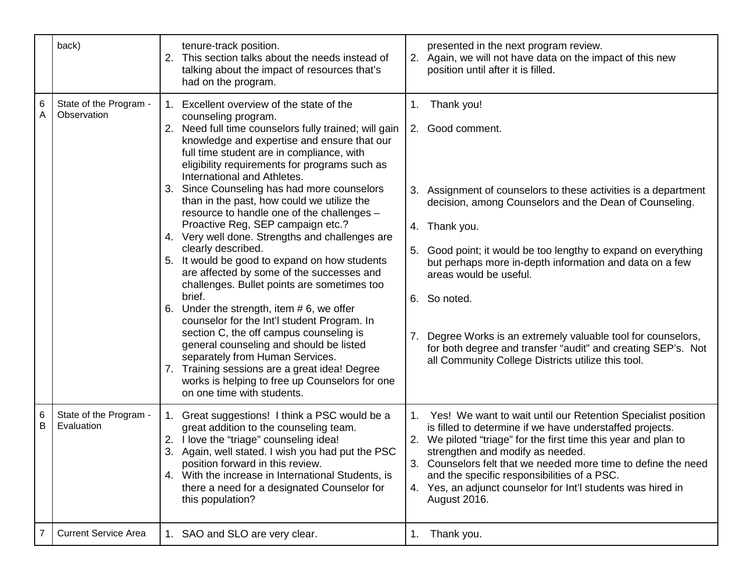|                | back)                                 | tenure-track position.<br>This section talks about the needs instead of<br>2.<br>talking about the impact of resources that's<br>had on the program.                                                                                                                                                                                                                                                                                                                                                                                                                                                                                                                                                                                                                                                                                                                                                                                                                                                                                                                           |                | presented in the next program review.<br>2. Again, we will not have data on the impact of this new<br>position until after it is filled.                                                                                                                                                                                                                                                                                                                                                                                          |
|----------------|---------------------------------------|--------------------------------------------------------------------------------------------------------------------------------------------------------------------------------------------------------------------------------------------------------------------------------------------------------------------------------------------------------------------------------------------------------------------------------------------------------------------------------------------------------------------------------------------------------------------------------------------------------------------------------------------------------------------------------------------------------------------------------------------------------------------------------------------------------------------------------------------------------------------------------------------------------------------------------------------------------------------------------------------------------------------------------------------------------------------------------|----------------|-----------------------------------------------------------------------------------------------------------------------------------------------------------------------------------------------------------------------------------------------------------------------------------------------------------------------------------------------------------------------------------------------------------------------------------------------------------------------------------------------------------------------------------|
| 6              | State of the Program -<br>Observation | Excellent overview of the state of the<br>1.<br>counseling program.<br>2. Need full time counselors fully trained; will gain<br>knowledge and expertise and ensure that our<br>full time student are in compliance, with<br>eligibility requirements for programs such as<br>International and Athletes.<br>Since Counseling has had more counselors<br>3.<br>than in the past, how could we utilize the<br>resource to handle one of the challenges -<br>Proactive Reg, SEP campaign etc.?<br>4. Very well done. Strengths and challenges are<br>clearly described.<br>It would be good to expand on how students<br>are affected by some of the successes and<br>challenges. Bullet points are sometimes too<br>brief.<br>Under the strength, item $# 6$ , we offer<br>counselor for the Int'l student Program. In<br>section C, the off campus counseling is<br>general counseling and should be listed<br>separately from Human Services.<br>7. Training sessions are a great idea! Degree<br>works is helping to free up Counselors for one<br>on one time with students. | 1.<br>5.<br>7. | Thank you!<br>2. Good comment.<br>Assignment of counselors to these activities is a department<br>decision, among Counselors and the Dean of Counseling.<br>4. Thank you.<br>Good point; it would be too lengthy to expand on everything<br>but perhaps more in-depth information and data on a few<br>areas would be useful.<br>6. So noted.<br>Degree Works is an extremely valuable tool for counselors,<br>for both degree and transfer "audit" and creating SEP's. Not<br>all Community College Districts utilize this tool. |
| 6<br>В         | State of the Program -<br>Evaluation  | 1. Great suggestions! I think a PSC would be a<br>great addition to the counseling team.<br>I love the "triage" counseling idea!<br>2.<br>Again, well stated. I wish you had put the PSC<br>position forward in this review.<br>4. With the increase in International Students, is<br>there a need for a designated Counselor for<br>this population?                                                                                                                                                                                                                                                                                                                                                                                                                                                                                                                                                                                                                                                                                                                          | 1.             | Yes! We want to wait until our Retention Specialist position<br>is filled to determine if we have understaffed projects.<br>We piloted "triage" for the first time this year and plan to<br>strengthen and modify as needed.<br>3. Counselors felt that we needed more time to define the need<br>and the specific responsibilities of a PSC.<br>4. Yes, an adjunct counselor for Int'l students was hired in<br>August 2016.                                                                                                     |
| $\overline{7}$ | <b>Current Service Area</b>           | 1. SAO and SLO are very clear.                                                                                                                                                                                                                                                                                                                                                                                                                                                                                                                                                                                                                                                                                                                                                                                                                                                                                                                                                                                                                                                 | 1.             | Thank you.                                                                                                                                                                                                                                                                                                                                                                                                                                                                                                                        |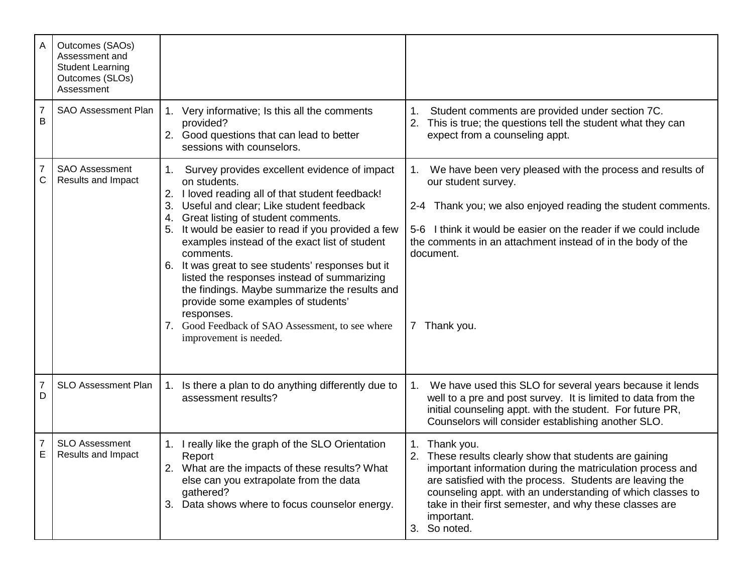| A                   | Outcomes (SAOs)<br>Assessment and<br><b>Student Learning</b><br>Outcomes (SLOs)<br>Assessment |                                                                                                                                                                                                                                                                                                                                                                                                                                                                                                                                                                                                                                 |                                                                                                                                                                                                                                                                                                                                                           |
|---------------------|-----------------------------------------------------------------------------------------------|---------------------------------------------------------------------------------------------------------------------------------------------------------------------------------------------------------------------------------------------------------------------------------------------------------------------------------------------------------------------------------------------------------------------------------------------------------------------------------------------------------------------------------------------------------------------------------------------------------------------------------|-----------------------------------------------------------------------------------------------------------------------------------------------------------------------------------------------------------------------------------------------------------------------------------------------------------------------------------------------------------|
| $\overline{7}$<br>B | <b>SAO Assessment Plan</b>                                                                    | Very informative; Is this all the comments<br>1.<br>provided?<br>2. Good questions that can lead to better<br>sessions with counselors.                                                                                                                                                                                                                                                                                                                                                                                                                                                                                         | 1.<br>Student comments are provided under section 7C.<br>This is true; the questions tell the student what they can<br>2.<br>expect from a counseling appt.                                                                                                                                                                                               |
| 7<br>С              | <b>SAO Assessment</b><br>Results and Impact                                                   | Survey provides excellent evidence of impact<br>1.<br>on students.<br>I loved reading all of that student feedback!<br>2.<br>Useful and clear; Like student feedback<br>3.<br>Great listing of student comments.<br>4.<br>It would be easier to read if you provided a few<br>examples instead of the exact list of student<br>comments.<br>6. It was great to see students' responses but it<br>listed the responses instead of summarizing<br>the findings. Maybe summarize the results and<br>provide some examples of students'<br>responses.<br>7. Good Feedback of SAO Assessment, to see where<br>improvement is needed. | We have been very pleased with the process and results of<br>our student survey.<br>2-4 Thank you; we also enjoyed reading the student comments.<br>I think it would be easier on the reader if we could include<br>$5-6$<br>the comments in an attachment instead of in the body of the<br>document.<br>Thank you.<br>7                                  |
| D                   | <b>SLO Assessment Plan</b>                                                                    | 1. Is there a plan to do anything differently due to<br>assessment results?                                                                                                                                                                                                                                                                                                                                                                                                                                                                                                                                                     | We have used this SLO for several years because it lends<br>1.<br>well to a pre and post survey. It is limited to data from the<br>initial counseling appt. with the student. For future PR,<br>Counselors will consider establishing another SLO.                                                                                                        |
| E                   | <b>SLO Assessment</b><br>Results and Impact                                                   | 1. I really like the graph of the SLO Orientation<br>Report<br>2. What are the impacts of these results? What<br>else can you extrapolate from the data<br>gathered?<br>Data shows where to focus counselor energy.<br>3.                                                                                                                                                                                                                                                                                                                                                                                                       | Thank you.<br>2.<br>These results clearly show that students are gaining<br>important information during the matriculation process and<br>are satisfied with the process. Students are leaving the<br>counseling appt. with an understanding of which classes to<br>take in their first semester, and why these classes are<br>important.<br>3. So noted. |